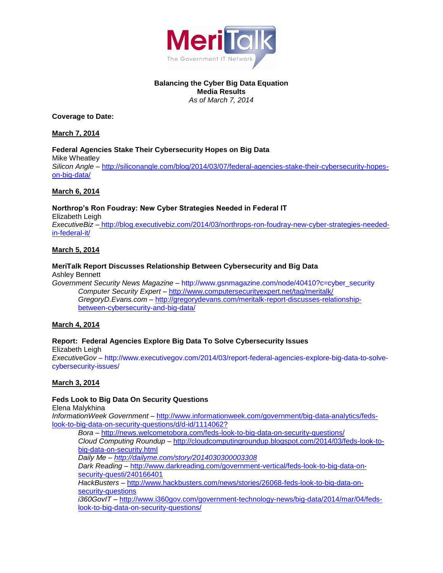

#### **Balancing the Cyber Big Data Equation Media Results** *As of March 7, 2014*

**Coverage to Date:**

**March 7, 2014**

## **Federal Agencies Stake Their Cybersecurity Hopes on Big Data**

Mike Wheatley *Silicon Angle –* [http://siliconangle.com/blog/2014/03/07/federal-agencies-stake-their-cybersecurity-hopes](http://siliconangle.com/blog/2014/03/07/federal-agencies-stake-their-cybersecurity-hopes-on-big-data/)[on-big-data/](http://siliconangle.com/blog/2014/03/07/federal-agencies-stake-their-cybersecurity-hopes-on-big-data/)

# **March 6, 2014**

**Northrop's Ron Foudray: New Cyber Strategies Needed in Federal IT** Elizabeth Leigh *ExecutiveBiz –* [http://blog.executivebiz.com/2014/03/northrops-ron-foudray-new-cyber-strategies-needed](http://blog.executivebiz.com/2014/03/northrops-ron-foudray-new-cyber-strategies-needed-in-federal-it/)[in-federal-it/](http://blog.executivebiz.com/2014/03/northrops-ron-foudray-new-cyber-strategies-needed-in-federal-it/)

# **March 5, 2014**

## **MeriTalk Report Discusses Relationship Between Cybersecurity and Big Data**

Ashley Bennett

*Government Security News Magazine* – [http://www.gsnmagazine.com/node/40410?c=cyber\\_security](http://www.gsnmagazine.com/node/40410?c=cyber_security) *Computer Security Expert* – <http://www.computersecurityexpert.net/tag/meritalk/> *GregoryD.Evans.com* – [http://gregorydevans.com/meritalk-report-discusses-relationship](http://gregorydevans.com/meritalk-report-discusses-relationship-between-cybersecurity-and-big-data/)[between-cybersecurity-and-big-data/](http://gregorydevans.com/meritalk-report-discusses-relationship-between-cybersecurity-and-big-data/)

# **March 4, 2014**

# **Report: Federal Agencies Explore Big Data To Solve Cybersecurity Issues**

Elizabeth Leigh

*ExecutiveGov* – [http://www.executivegov.com/2014/03/report-federal-agencies-explore-big-data-to-solve](http://www.executivegov.com/2014/03/report-federal-agencies-explore-big-data-to-solve-cybersecurity-issues/)[cybersecurity-issues/](http://www.executivegov.com/2014/03/report-federal-agencies-explore-big-data-to-solve-cybersecurity-issues/)

# **March 3, 2014**

# **Feds Look to Big Data On Security Questions**

Elena Malykhina *InformationWeek Government* – [http://www.informationweek.com/government/big-data-analytics/feds](http://www.informationweek.com/government/big-data-analytics/feds-look-to-big-data-on-security-questions/d/d-id/1114062)[look-to-big-data-on-security-questions/d/d-id/1114062?](http://www.informationweek.com/government/big-data-analytics/feds-look-to-big-data-on-security-questions/d/d-id/1114062)

*Bora* – <http://news.welcometobora.com/feds-look-to-big-data-on-security-questions/> *Cloud Computing Roundup* – [http://cloudcomputingroundup.blogspot.com/2014/03/feds-look-to](http://cloudcomputingroundup.blogspot.com/2014/03/feds-look-to-big-data-on-security.html)[big-data-on-security.html](http://cloudcomputingroundup.blogspot.com/2014/03/feds-look-to-big-data-on-security.html) *Daily Me – <http://dailyme.com/story/2014030300003308> Dark Reading* – [http://www.darkreading.com/government-vertical/feds-look-to-big-data-on](http://www.darkreading.com/government-vertical/feds-look-to-big-data-on-security-questi/240166401)[security-questi/240166401](http://www.darkreading.com/government-vertical/feds-look-to-big-data-on-security-questi/240166401) *HackBusters* – [http://www.hackbusters.com/news/stories/26068-feds-look-to-big-data-on](http://www.hackbusters.com/news/stories/26068-feds-look-to-big-data-on-security-questions)[security-questions](http://www.hackbusters.com/news/stories/26068-feds-look-to-big-data-on-security-questions)

*i360GovIT* – [http://www.i360gov.com/government-technology-news/big-data/2014/mar/04/feds](http://www.i360gov.com/government-technology-news/big-data/2014/mar/04/feds-look-to-big-data-on-security-questions/)[look-to-big-data-on-security-questions/](http://www.i360gov.com/government-technology-news/big-data/2014/mar/04/feds-look-to-big-data-on-security-questions/)